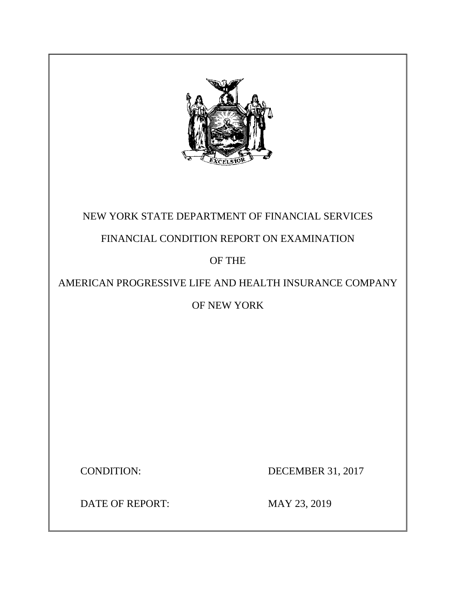

# NEW YORK STATE DEPARTMENT OF FINANCIAL SERVICES

# FINANCIAL CONDITION REPORT ON EXAMINATION

# OF THE

# AMERICAN PROGRESSIVE LIFE AND HEALTH INSURANCE COMPANY

# OF NEW YORK

CONDITION: DECEMBER 31, 2017

DATE OF REPORT: MAY 23, 2019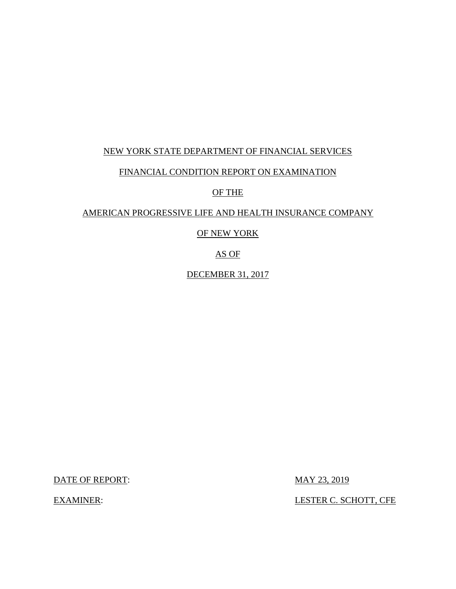### NEW YORK STATE DEPARTMENT OF FINANCIAL SERVICES

### FINANCIAL CONDITION REPORT ON EXAMINATION

### OF THE

## AMERICAN PROGRESSIVE LIFE AND HEALTH INSURANCE COMPANY

### OF NEW YORK

### AS OF

DECEMBER 31, 2017

DATE OF REPORT: MAY 23, 2019

EXAMINER: LESTER C. SCHOTT, CFE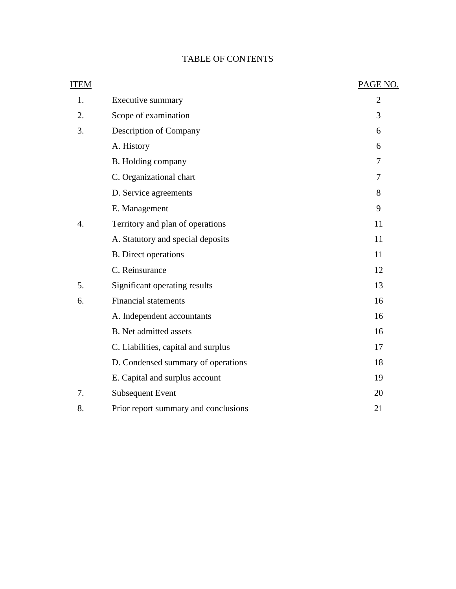# TABLE OF CONTENTS

| <b>ITEM</b> |                                      | PAGE NO.       |
|-------------|--------------------------------------|----------------|
| 1.          | Executive summary                    | $\overline{2}$ |
| 2.          | Scope of examination                 | 3              |
| 3.          | Description of Company               | 6              |
|             | A. History                           | 6              |
|             | B. Holding company                   | 7              |
|             | C. Organizational chart              | 7              |
|             | D. Service agreements                | 8              |
|             | E. Management                        | 9              |
| 4.          | Territory and plan of operations     | 11             |
|             | A. Statutory and special deposits    | 11             |
|             | <b>B.</b> Direct operations          | 11             |
|             | C. Reinsurance                       | 12             |
| 5.          | Significant operating results        | 13             |
| 6.          | <b>Financial statements</b>          | 16             |
|             | A. Independent accountants           | 16             |
|             | <b>B.</b> Net admitted assets        | 16             |
|             | C. Liabilities, capital and surplus  | 17             |
|             | D. Condensed summary of operations   | 18             |
|             | E. Capital and surplus account       | 19             |
| 7.          | <b>Subsequent Event</b>              | 20             |
| 8.          | Prior report summary and conclusions | 21             |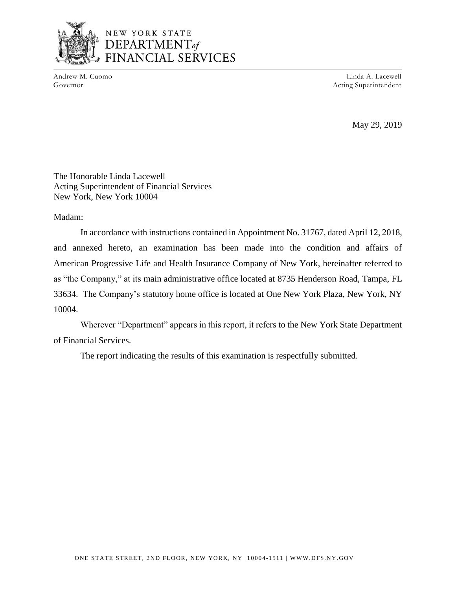

# NEW YORK STATE DEPARTMENT<sub>of</sub> **NCIAL SERVICES**

Andrew M. Cuomo Governor

Linda A. Lacewell Acting Superintendent

May 29, 2019

The Honorable Linda Lacewell Acting Superintendent of Financial Services New York, New York 10004

Madam:

In accordance with instructions contained in Appointment No. 31767, dated April 12, 2018, and annexed hereto, an examination has been made into the condition and affairs of American Progressive Life and Health Insurance Company of New York, hereinafter referred to as "the Company," at its main administrative office located at 8735 Henderson Road, Tampa, FL 33634. The Company's statutory home office is located at One New York Plaza, New York, NY 10004.

Wherever "Department" appears in this report, it refers to the New York State Department of Financial Services.

The report indicating the results of this examination is respectfully submitted.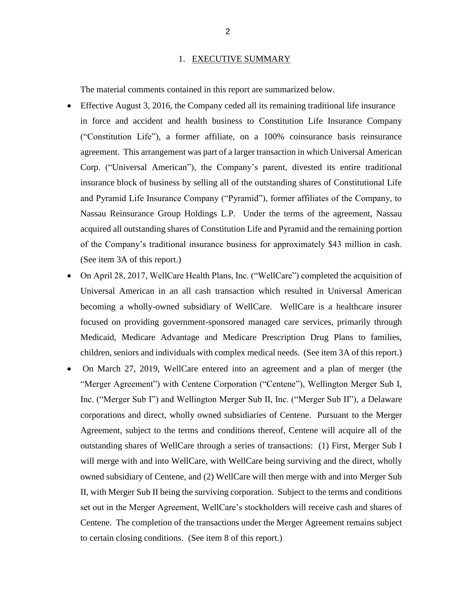#### 1. EXECUTIVE SUMMARY

The material comments contained in this report are summarized below.

- Effective August 3, 2016, the Company ceded all its remaining traditional life insurance in force and accident and health business to Constitution Life Insurance Company ("Constitution Life"), a former affiliate, on a 100% coinsurance basis reinsurance agreement. This arrangement was part of a larger transaction in which Universal American Corp. ("Universal American"), the Company's parent, divested its entire traditional insurance block of business by selling all of the outstanding shares of Constitutional Life and Pyramid Life Insurance Company ("Pyramid"), former affiliates of the Company, to Nassau Reinsurance Group Holdings L.P. Under the terms of the agreement, Nassau acquired all outstanding shares of Constitution Life and Pyramid and the remaining portion of the Company's traditional insurance business for approximately \$43 million in cash. (See item 3A of this report.)
- On April 28, 2017, WellCare Health Plans, Inc. ("WellCare") completed the acquisition of Universal American in an all cash transaction which resulted in Universal American becoming a wholly-owned subsidiary of WellCare. WellCare is a healthcare insurer focused on providing government-sponsored managed care services, primarily through Medicaid, Medicare Advantage and Medicare Prescription Drug Plans to families, children, seniors and individuals with complex medical needs. (See item 3A of this report.)
- On March 27, 2019, WellCare entered into an agreement and a plan of merger (the "Merger Agreement") with Centene Corporation ("Centene"), Wellington Merger Sub I, Inc. ("Merger Sub I") and Wellington Merger Sub II, Inc. ("Merger Sub II"), a Delaware corporations and direct, wholly owned subsidiaries of Centene. Pursuant to the Merger Agreement, subject to the terms and conditions thereof, Centene will acquire all of the outstanding shares of WellCare through a series of transactions: (1) First, Merger Sub I will merge with and into WellCare, with WellCare being surviving and the direct, wholly owned subsidiary of Centene, and (2) WellCare will then merge with and into Merger Sub II, with Merger Sub II being the surviving corporation. Subject to the terms and conditions set out in the Merger Agreement, WellCare's stockholders will receive cash and shares of Centene. The completion of the transactions under the Merger Agreement remains subject to certain closing conditions. (See item 8 of this report.)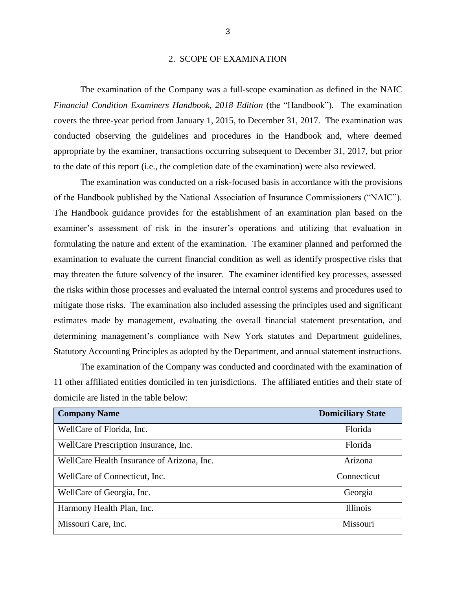#### 2. SCOPE OF EXAMINATION

The examination of the Company was a full-scope examination as defined in the NAIC *Financial Condition Examiners Handbook, 2018 Edition (the "Handbook").* The examination covers the three-year period from January 1, 2015, to December 31, 2017. The examination was conducted observing the guidelines and procedures in the Handbook and, where deemed appropriate by the examiner, transactions occurring subsequent to December 31, 2017, but prior to the date of this report (i.e., the completion date of the examination) were also reviewed.

The examination was conducted on a risk-focused basis in accordance with the provisions of the Handbook published by the National Association of Insurance Commissioners ("NAIC"). The Handbook guidance provides for the establishment of an examination plan based on the examiner's assessment of risk in the insurer's operations and utilizing that evaluation in formulating the nature and extent of the examination. The examiner planned and performed the examination to evaluate the current financial condition as well as identify prospective risks that may threaten the future solvency of the insurer. The examiner identified key processes, assessed the risks within those processes and evaluated the internal control systems and procedures used to mitigate those risks. The examination also included assessing the principles used and significant estimates made by management, evaluating the overall financial statement presentation, and determining management's compliance with New York statutes and Department guidelines, Statutory Accounting Principles as adopted by the Department, and annual statement instructions.

The examination of the Company was conducted and coordinated with the examination of 11 other affiliated entities domiciled in ten jurisdictions. The affiliated entities and their state of domicile are listed in the table below:

| <b>Company Name</b>                        | <b>Domiciliary State</b> |
|--------------------------------------------|--------------------------|
| WellCare of Florida, Inc.                  | Florida                  |
| WellCare Prescription Insurance, Inc.      | Florida                  |
| WellCare Health Insurance of Arizona, Inc. | Arizona                  |
| WellCare of Connecticut, Inc.              | Connecticut              |
| WellCare of Georgia, Inc.                  | Georgia                  |
| Harmony Health Plan, Inc.                  | <b>Illinois</b>          |
| Missouri Care, Inc.                        | Missouri                 |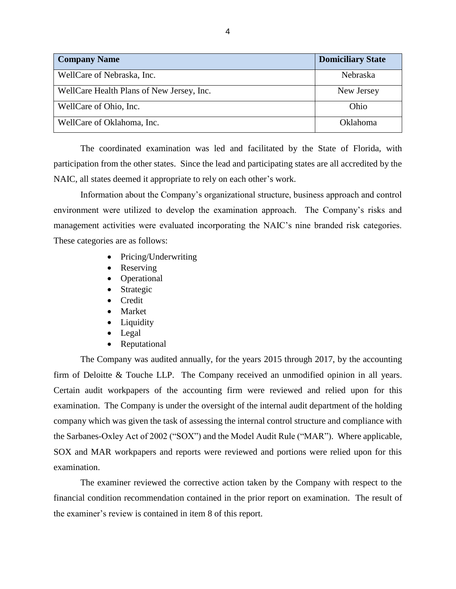| <b>Company Name</b>                       | <b>Domiciliary State</b> |
|-------------------------------------------|--------------------------|
| WellCare of Nebraska, Inc.                | <b>Nebraska</b>          |
| WellCare Health Plans of New Jersey, Inc. | New Jersey               |
| WellCare of Ohio, Inc.                    | Ohio                     |
| WellCare of Oklahoma, Inc.                | Oklahoma                 |

The coordinated examination was led and facilitated by the State of Florida, with participation from the other states. Since the lead and participating states are all accredited by the NAIC, all states deemed it appropriate to rely on each other's work.

Information about the Company's organizational structure, business approach and control environment were utilized to develop the examination approach. The Company's risks and management activities were evaluated incorporating the NAIC's nine branded risk categories. These categories are as follows:

- Pricing/Underwriting
- **Reserving**
- Operational
- **Strategic**
- Credit
- Market
- Liquidity
- Legal
- Reputational

The Company was audited annually, for the years 2015 through 2017, by the accounting firm of Deloitte & Touche LLP. The Company received an unmodified opinion in all years. Certain audit workpapers of the accounting firm were reviewed and relied upon for this examination. The Company is under the oversight of the internal audit department of the holding company which was given the task of assessing the internal control structure and compliance with the Sarbanes-Oxley Act of 2002 ("SOX") and the Model Audit Rule ("MAR"). Where applicable, SOX and MAR workpapers and reports were reviewed and portions were relied upon for this examination.

The examiner reviewed the corrective action taken by the Company with respect to the financial condition recommendation contained in the prior report on examination. The result of the examiner's review is contained in item 8 of this report.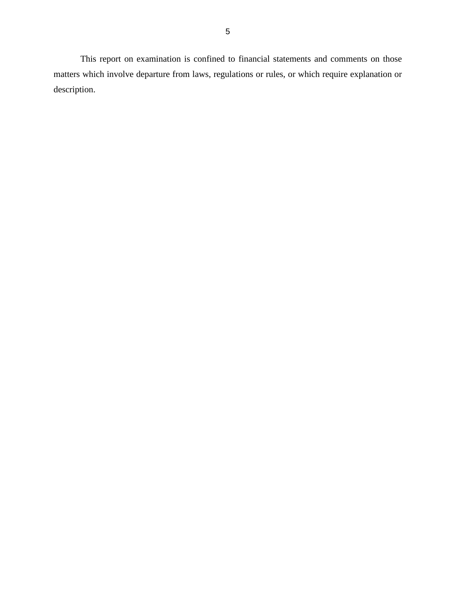This report on examination is confined to financial statements and comments on those matters which involve departure from laws, regulations or rules, or which require explanation or description.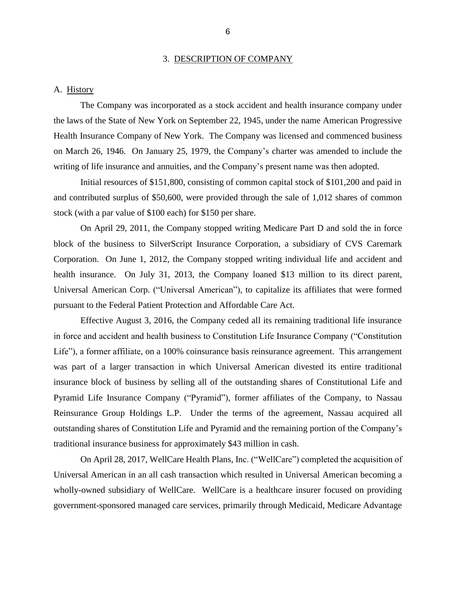#### 3. DESCRIPTION OF COMPANY

#### A. History

The Company was incorporated as a stock accident and health insurance company under the laws of the State of New York on September 22, 1945, under the name American Progressive Health Insurance Company of New York. The Company was licensed and commenced business on March 26, 1946. On January 25, 1979, the Company's charter was amended to include the writing of life insurance and annuities, and the Company's present name was then adopted.

Initial resources of \$151,800, consisting of common capital stock of \$101,200 and paid in and contributed surplus of \$50,600, were provided through the sale of 1,012 shares of common stock (with a par value of \$100 each) for \$150 per share.

On April 29, 2011, the Company stopped writing Medicare Part D and sold the in force block of the business to SilverScript Insurance Corporation, a subsidiary of CVS Caremark Corporation. On June 1, 2012, the Company stopped writing individual life and accident and health insurance. On July 31, 2013, the Company loaned \$13 million to its direct parent, Universal American Corp. ("Universal American"), to capitalize its affiliates that were formed pursuant to the Federal Patient Protection and Affordable Care Act.

Effective August 3, 2016, the Company ceded all its remaining traditional life insurance in force and accident and health business to Constitution Life Insurance Company ("Constitution Life"), a former affiliate, on a 100% coinsurance basis reinsurance agreement. This arrangement was part of a larger transaction in which Universal American divested its entire traditional insurance block of business by selling all of the outstanding shares of Constitutional Life and Pyramid Life Insurance Company ("Pyramid"), former affiliates of the Company, to Nassau Reinsurance Group Holdings L.P. Under the terms of the agreement, Nassau acquired all outstanding shares of Constitution Life and Pyramid and the remaining portion of the Company's traditional insurance business for approximately \$43 million in cash.

On April 28, 2017, WellCare Health Plans, Inc. ("WellCare") completed the acquisition of Universal American in an all cash transaction which resulted in Universal American becoming a wholly-owned subsidiary of WellCare. WellCare is a healthcare insurer focused on providing government-sponsored managed care services, primarily through Medicaid, Medicare Advantage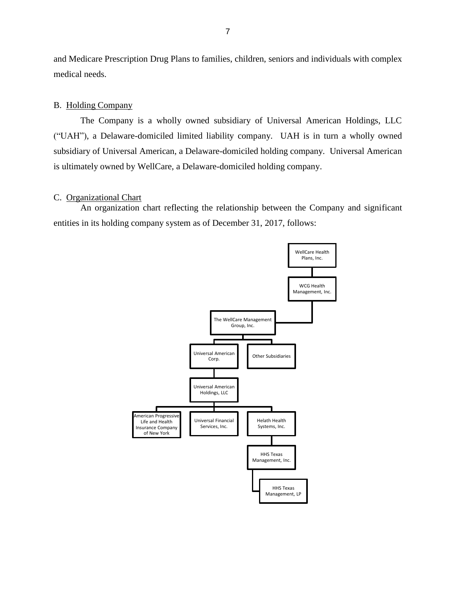and Medicare Prescription Drug Plans to families, children, seniors and individuals with complex medical needs.

#### B. Holding Company

The Company is a wholly owned subsidiary of Universal American Holdings, LLC ("UAH"), a Delaware-domiciled limited liability company. UAH is in turn a wholly owned subsidiary of Universal American, a Delaware-domiciled holding company. Universal American is ultimately owned by WellCare, a Delaware-domiciled holding company.

#### C. Organizational Chart

An organization chart reflecting the relationship between the Company and significant entities in its holding company system as of December 31, 2017, follows:

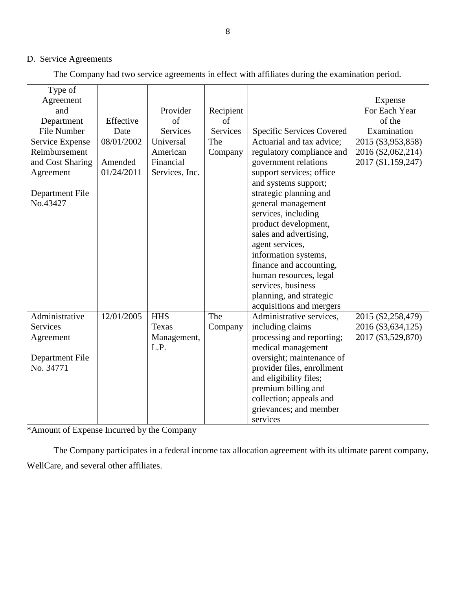# D. Service Agreements

The Company had two service agreements in effect with affiliates during the examination period.

| Type of          |            |                |           |                            |                    |
|------------------|------------|----------------|-----------|----------------------------|--------------------|
| Agreement        |            |                |           |                            | Expense            |
| and              |            | Provider       | Recipient |                            | For Each Year      |
| Department       | Effective  | of             | of        |                            | of the             |
| File Number      | Date       | Services       | Services  | Specific Services Covered  | Examination        |
| Service Expense  | 08/01/2002 | Universal      | The       | Actuarial and tax advice;  | 2015 (\$3,953,858) |
| Reimbursement    |            | American       | Company   | regulatory compliance and  | 2016 (\$2,062,214) |
| and Cost Sharing | Amended    | Financial      |           | government relations       | 2017 (\$1,159,247) |
| Agreement        | 01/24/2011 | Services, Inc. |           | support services; office   |                    |
|                  |            |                |           | and systems support;       |                    |
| Department File  |            |                |           | strategic planning and     |                    |
| No.43427         |            |                |           | general management         |                    |
|                  |            |                |           | services, including        |                    |
|                  |            |                |           | product development,       |                    |
|                  |            |                |           | sales and advertising,     |                    |
|                  |            |                |           | agent services,            |                    |
|                  |            |                |           | information systems,       |                    |
|                  |            |                |           | finance and accounting,    |                    |
|                  |            |                |           | human resources, legal     |                    |
|                  |            |                |           | services, business         |                    |
|                  |            |                |           | planning, and strategic    |                    |
|                  |            |                |           | acquisitions and mergers   |                    |
| Administrative   | 12/01/2005 | <b>HHS</b>     | The       | Administrative services,   | 2015 (\$2,258,479) |
| <b>Services</b>  |            | Texas          | Company   | including claims           | 2016 (\$3,634,125) |
| Agreement        |            | Management,    |           | processing and reporting;  | 2017 (\$3,529,870) |
|                  |            | L.P.           |           | medical management         |                    |
| Department File  |            |                |           | oversight; maintenance of  |                    |
| No. 34771        |            |                |           | provider files, enrollment |                    |
|                  |            |                |           | and eligibility files;     |                    |
|                  |            |                |           | premium billing and        |                    |
|                  |            |                |           | collection; appeals and    |                    |
|                  |            |                |           | grievances; and member     |                    |
|                  |            |                |           | services                   |                    |

\*Amount of Expense Incurred by the Company

The Company participates in a federal income tax allocation agreement with its ultimate parent company, WellCare, and several other affiliates.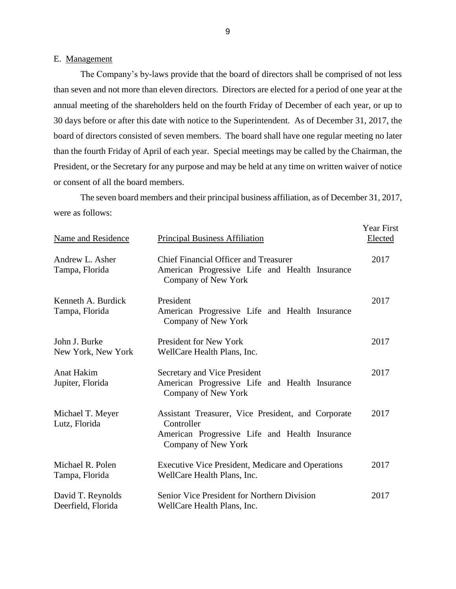#### E. Management

The Company's by-laws provide that the board of directors shall be comprised of not less than seven and not more than eleven directors. Directors are elected for a period of one year at the annual meeting of the shareholders held on the fourth Friday of December of each year, or up to 30 days before or after this date with notice to the Superintendent. As of December 31, 2017, the board of directors consisted of seven members. The board shall have one regular meeting no later than the fourth Friday of April of each year. Special meetings may be called by the Chairman, the President, or the Secretary for any purpose and may be held at any time on written waiver of notice or consent of all the board members.

The seven board members and their principal business affiliation, as of December 31, 2017, were as follows:

| Name and Residence                      | <b>Principal Business Affiliation</b>                                                                                                     | <b>Year First</b><br>Elected |
|-----------------------------------------|-------------------------------------------------------------------------------------------------------------------------------------------|------------------------------|
| Andrew L. Asher<br>Tampa, Florida       | <b>Chief Financial Officer and Treasurer</b><br>American Progressive Life and Health Insurance<br>Company of New York                     | 2017                         |
| Kenneth A. Burdick<br>Tampa, Florida    | President<br>American Progressive Life and Health Insurance<br>Company of New York                                                        | 2017                         |
| John J. Burke<br>New York, New York     | <b>President for New York</b><br>WellCare Health Plans, Inc.                                                                              | 2017                         |
| <b>Anat Hakim</b><br>Jupiter, Florida   | Secretary and Vice President<br>American Progressive Life and Health Insurance<br>Company of New York                                     | 2017                         |
| Michael T. Meyer<br>Lutz, Florida       | Assistant Treasurer, Vice President, and Corporate<br>Controller<br>American Progressive Life and Health Insurance<br>Company of New York | 2017                         |
| Michael R. Polen<br>Tampa, Florida      | <b>Executive Vice President, Medicare and Operations</b><br>WellCare Health Plans, Inc.                                                   | 2017                         |
| David T. Reynolds<br>Deerfield, Florida | Senior Vice President for Northern Division<br>WellCare Health Plans, Inc.                                                                | 2017                         |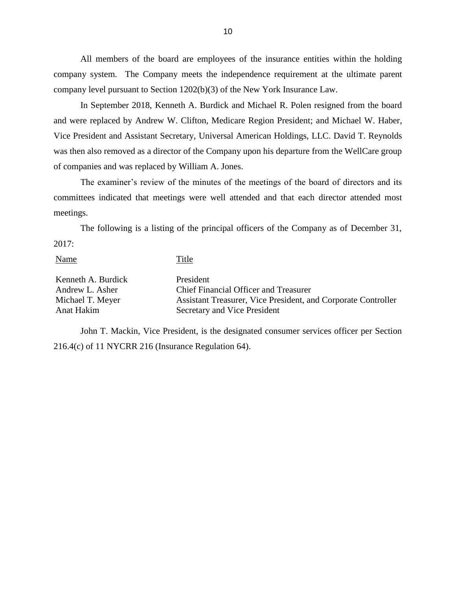All members of the board are employees of the insurance entities within the holding company system. The Company meets the independence requirement at the ultimate parent company level pursuant to Section 1202(b)(3) of the New York Insurance Law.

In September 2018, Kenneth A. Burdick and Michael R. Polen resigned from the board and were replaced by Andrew W. Clifton, Medicare Region President; and Michael W. Haber, Vice President and Assistant Secretary, Universal American Holdings, LLC. David T. Reynolds was then also removed as a director of the Company upon his departure from the WellCare group of companies and was replaced by William A. Jones.

The examiner's review of the minutes of the meetings of the board of directors and its committees indicated that meetings were well attended and that each director attended most meetings.

The following is a listing of the principal officers of the Company as of December 31, 2017:

| <b>Name</b>        | Title                                                         |
|--------------------|---------------------------------------------------------------|
| Kenneth A. Burdick | President                                                     |
| Andrew L. Asher    | <b>Chief Financial Officer and Treasurer</b>                  |
| Michael T. Meyer   | Assistant Treasurer, Vice President, and Corporate Controller |
| Anat Hakim         | Secretary and Vice President                                  |

John T. Mackin, Vice President, is the designated consumer services officer per Section 216.4(c) of 11 NYCRR 216 (Insurance Regulation 64).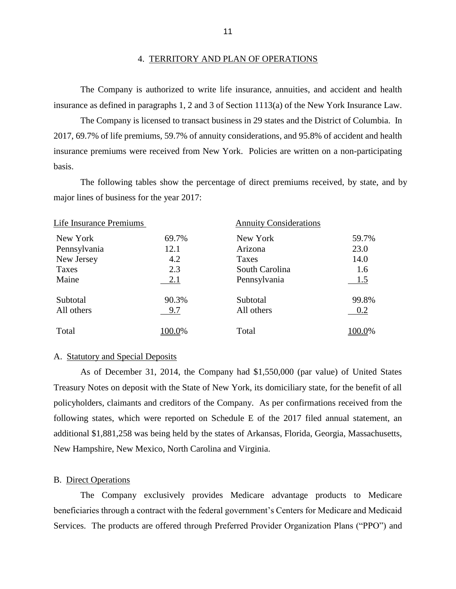#### 4. TERRITORY AND PLAN OF OPERATIONS

The Company is authorized to write life insurance, annuities, and accident and health insurance as defined in paragraphs 1, 2 and 3 of Section 1113(a) of the New York Insurance Law.

The Company is licensed to transact business in 29 states and the District of Columbia. In 2017, 69.7% of life premiums, 59.7% of annuity considerations, and 95.8% of accident and health insurance premiums were received from New York. Policies are written on a non-participating basis.

The following tables show the percentage of direct premiums received, by state, and by major lines of business for the year 2017:

| Life Insurance Premiums |                | <b>Annuity Considerations</b> |  |  |
|-------------------------|----------------|-------------------------------|--|--|
| 69.7%                   | New York       | 59.7%                         |  |  |
| 12.1                    | Arizona        | 23.0                          |  |  |
| 4.2                     | Taxes          | 14.0                          |  |  |
| 2.3                     | South Carolina | 1.6                           |  |  |
| 2.1                     | Pennsylvania   | 1.5                           |  |  |
| 90.3%                   | Subtotal       | 99.8%                         |  |  |
| 9.7                     | All others     | 0.2                           |  |  |
| 100.0%                  | Total          | 100.0%                        |  |  |
|                         |                |                               |  |  |

#### A. Statutory and Special Deposits

As of December 31, 2014, the Company had \$1,550,000 (par value) of United States Treasury Notes on deposit with the State of New York, its domiciliary state, for the benefit of all policyholders, claimants and creditors of the Company. As per confirmations received from the following states, which were reported on Schedule E of the 2017 filed annual statement, an additional \$1,881,258 was being held by the states of Arkansas, Florida, Georgia, Massachusetts, New Hampshire, New Mexico, North Carolina and Virginia.

#### B. Direct Operations

The Company exclusively provides Medicare advantage products to Medicare beneficiaries through a contract with the federal government's Centers for Medicare and Medicaid Services. The products are offered through Preferred Provider Organization Plans ("PPO") and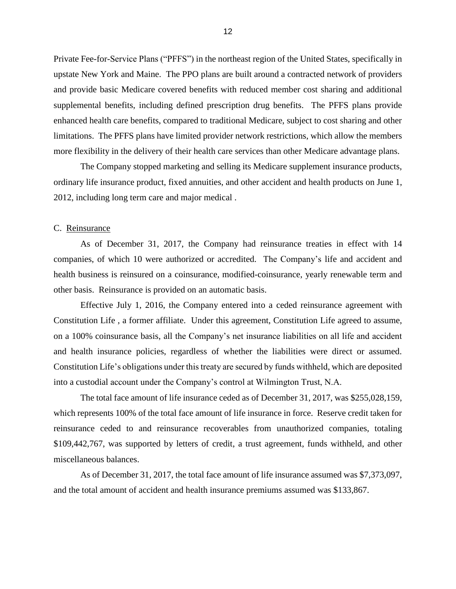Private Fee-for-Service Plans ("PFFS") in the northeast region of the United States, specifically in upstate New York and Maine. The PPO plans are built around a contracted network of providers and provide basic Medicare covered benefits with reduced member cost sharing and additional supplemental benefits, including defined prescription drug benefits. The PFFS plans provide enhanced health care benefits, compared to traditional Medicare, subject to cost sharing and other limitations. The PFFS plans have limited provider network restrictions, which allow the members more flexibility in the delivery of their health care services than other Medicare advantage plans.

The Company stopped marketing and selling its Medicare supplement insurance products, ordinary life insurance product, fixed annuities, and other accident and health products on June 1, 2012, including long term care and major medical .

#### C. Reinsurance

As of December 31, 2017, the Company had reinsurance treaties in effect with 14 companies, of which 10 were authorized or accredited. The Company's life and accident and health business is reinsured on a coinsurance, modified-coinsurance, yearly renewable term and other basis. Reinsurance is provided on an automatic basis.

Effective July 1, 2016, the Company entered into a ceded reinsurance agreement with Constitution Life , a former affiliate. Under this agreement, Constitution Life agreed to assume, on a 100% coinsurance basis, all the Company's net insurance liabilities on all life and accident and health insurance policies, regardless of whether the liabilities were direct or assumed. Constitution Life's obligations under this treaty are secured by funds withheld, which are deposited into a custodial account under the Company's control at Wilmington Trust, N.A.

The total face amount of life insurance ceded as of December 31, 2017, was \$255,028,159, which represents 100% of the total face amount of life insurance in force. Reserve credit taken for reinsurance ceded to and reinsurance recoverables from unauthorized companies, totaling \$109,442,767, was supported by letters of credit, a trust agreement, funds withheld, and other miscellaneous balances.

As of December 31, 2017, the total face amount of life insurance assumed was \$7,373,097, and the total amount of accident and health insurance premiums assumed was \$133,867.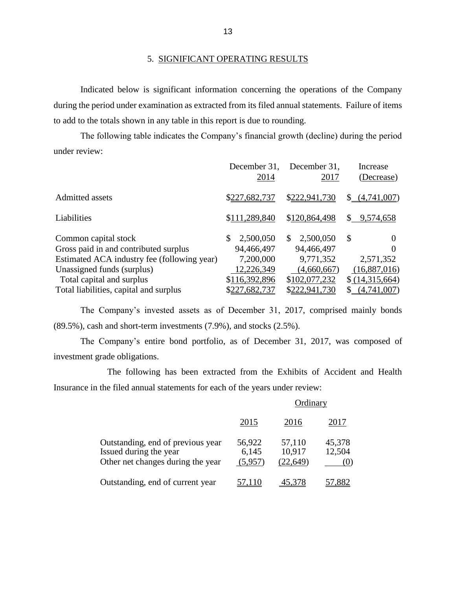#### 5. SIGNIFICANT OPERATING RESULTS

Indicated below is significant information concerning the operations of the Company during the period under examination as extracted from its filed annual statements. Failure of items to add to the totals shown in any table in this report is due to rounding.

The following table indicates the Company's financial growth (decline) during the period under review:

|                                             | December 31,<br>2014 | December 31,<br>2017 | Increase<br>(Decrease) |
|---------------------------------------------|----------------------|----------------------|------------------------|
| Admitted assets                             | \$227,682,737        | \$222,941,730        | (4,741,007)<br>SS.     |
| Liabilities                                 | \$111,289,840        | \$120,864,498        | \$9,574,658            |
| Common capital stock                        | \$<br>2,500,050      | 2,500,050<br>\$.     | S                      |
| Gross paid in and contributed surplus       | 94,466,497           | 94,466,497           |                        |
| Estimated ACA industry fee (following year) | 7,200,000            | 9,771,352            | 2,571,352              |
| Unassigned funds (surplus)                  | 12,226,349           | (4,660,667)          | (16,887,016)           |
| Total capital and surplus                   | \$116,392,896        | \$102,077,232        | \$(14,315,664)         |
| Total liabilities, capital and surplus      | \$227,682,737        | \$222,941,730        | (4,741,007)            |

The Company's invested assets as of December 31, 2017, comprised mainly bonds (89.5%), cash and short-term investments (7.9%), and stocks (2.5%).

The Company's entire bond portfolio, as of December 31, 2017, was composed of investment grade obligations.

The following has been extracted from the Exhibits of Accident and Health Insurance in the filed annual statements for each of the years under review:

|                                                                                                  | Ordinary                   |                               |                  |
|--------------------------------------------------------------------------------------------------|----------------------------|-------------------------------|------------------|
|                                                                                                  | 2015                       | 2016                          | 2017             |
| Outstanding, end of previous year<br>Issued during the year<br>Other net changes during the year | 56,922<br>6,145<br>(5,957) | 57,110<br>10,917<br>(22, 649) | 45,378<br>12,504 |
| Outstanding, end of current year                                                                 |                            |                               |                  |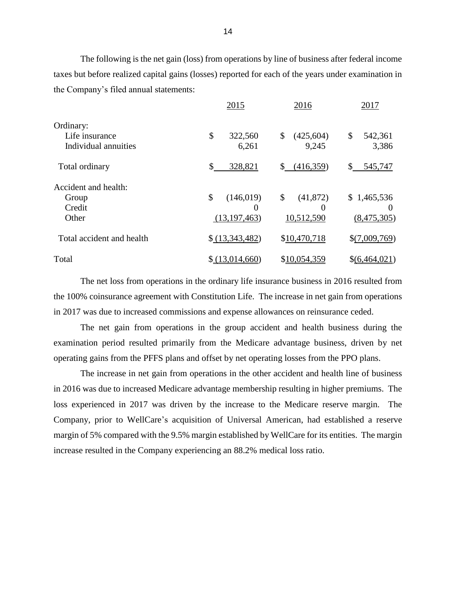The following is the net gain (loss) from operations by line of business after federal income taxes but before realized capital gains (losses) reported for each of the years under examination in the Company's filed annual statements:

|                                                     | 2015                                           | 2016                          | 2017                                   |
|-----------------------------------------------------|------------------------------------------------|-------------------------------|----------------------------------------|
| Ordinary:<br>Life insurance<br>Individual annuities | \$<br>322,560<br>6,261                         | \$<br>(425, 604)<br>9,245     | \$<br>542,361<br>3,386                 |
| Total ordinary                                      | \$<br>328,821                                  | \$<br>(416,359)               | \$<br>545,747                          |
| Accident and health:<br>Group<br>Credit<br>Other    | \$<br>(146, 019)<br>$\Omega$<br>(13, 197, 463) | \$<br>(41, 872)<br>10,512,590 | \$1,465,536<br>$\theta$<br>(8,475,305) |
| Total accident and health                           | \$(13,343,482)                                 | \$10,470,718                  | \$(7,009,769)                          |
| Total                                               | \$(13,014,660)                                 | \$10,054,359                  | $$$ (6,464,021)                        |

The net loss from operations in the ordinary life insurance business in 2016 resulted from the 100% coinsurance agreement with Constitution Life. The increase in net gain from operations in 2017 was due to increased commissions and expense allowances on reinsurance ceded.

The net gain from operations in the group accident and health business during the examination period resulted primarily from the Medicare advantage business, driven by net operating gains from the PFFS plans and offset by net operating losses from the PPO plans.

The increase in net gain from operations in the other accident and health line of business in 2016 was due to increased Medicare advantage membership resulting in higher premiums. The loss experienced in 2017 was driven by the increase to the Medicare reserve margin. The Company, prior to WellCare's acquisition of Universal American, had established a reserve margin of 5% compared with the 9.5% margin established by WellCare for its entities. The margin increase resulted in the Company experiencing an 88.2% medical loss ratio.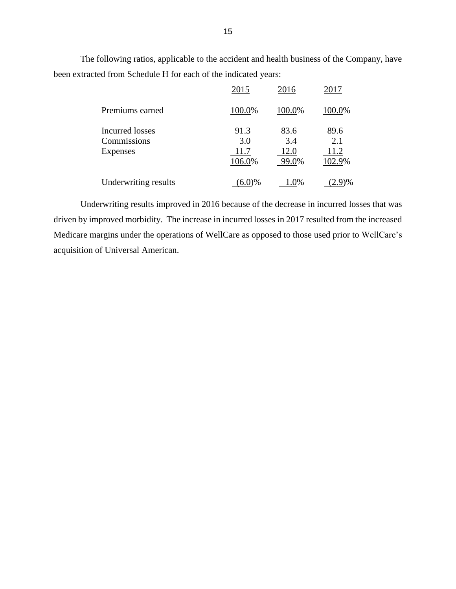The following ratios, applicable to the accident and health business of the Company, have been extracted from Schedule H for each of the indicated years:

|                                                          | 2015                          | 2016                         | 2017                          |
|----------------------------------------------------------|-------------------------------|------------------------------|-------------------------------|
| Premiums earned                                          | 100.0%                        | 100.0%                       | 100.0%                        |
| <b>Incurred losses</b><br>Commissions<br><b>Expenses</b> | 91.3<br>3.0<br>11.7<br>106.0% | 83.6<br>3.4<br>12.0<br>99.0% | 89.6<br>2.1<br>11.2<br>102.9% |
| Underwriting results                                     | <u>(6.0)%</u>                 | 1.0%                         | $)\%$<br>(2.9)                |

Underwriting results improved in 2016 because of the decrease in incurred losses that was driven by improved morbidity. The increase in incurred losses in 2017 resulted from the increased Medicare margins under the operations of WellCare as opposed to those used prior to WellCare's acquisition of Universal American.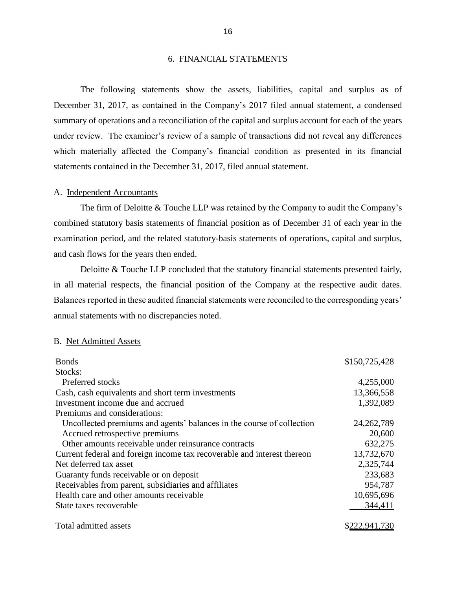#### 6. FINANCIAL STATEMENTS

The following statements show the assets, liabilities, capital and surplus as of December 31, 2017, as contained in the Company's 2017 filed annual statement, a condensed summary of operations and a reconciliation of the capital and surplus account for each of the years under review. The examiner's review of a sample of transactions did not reveal any differences which materially affected the Company's financial condition as presented in its financial statements contained in the December 31, 2017, filed annual statement.

#### A. Independent Accountants

The firm of Deloitte & Touche LLP was retained by the Company to audit the Company's combined statutory basis statements of financial position as of December 31 of each year in the examination period, and the related statutory-basis statements of operations, capital and surplus, and cash flows for the years then ended.

Deloitte & Touche LLP concluded that the statutory financial statements presented fairly, in all material respects, the financial position of the Company at the respective audit dates. Balances reported in these audited financial statements were reconciled to the corresponding years' annual statements with no discrepancies noted.

#### B. Net Admitted Assets

| <b>Bonds</b>                                                            | \$150,725,428 |
|-------------------------------------------------------------------------|---------------|
| Stocks:                                                                 |               |
| Preferred stocks                                                        | 4,255,000     |
| Cash, cash equivalents and short term investments                       | 13,366,558    |
| Investment income due and accrued                                       | 1,392,089     |
| Premiums and considerations:                                            |               |
| Uncollected premiums and agents' balances in the course of collection   | 24, 262, 789  |
| Accrued retrospective premiums                                          | 20,600        |
| Other amounts receivable under reinsurance contracts                    | 632,275       |
| Current federal and foreign income tax recoverable and interest thereon | 13,732,670    |
| Net deferred tax asset                                                  | 2,325,744     |
| Guaranty funds receivable or on deposit                                 | 233,683       |
| Receivables from parent, subsidiaries and affiliates                    | 954,787       |
| Health care and other amounts receivable                                | 10,695,696    |
| State taxes recoverable                                                 | 344,411       |
| Total admitted assets                                                   | \$222,941,730 |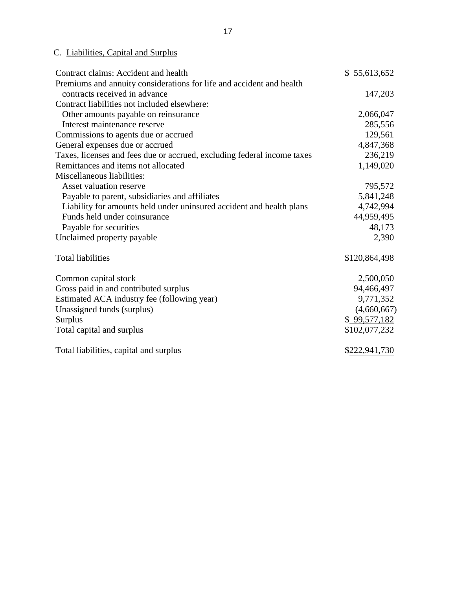# C. Liabilities, Capital and Surplus

| Contract claims: Accident and health                                    | \$55,613,652  |
|-------------------------------------------------------------------------|---------------|
| Premiums and annuity considerations for life and accident and health    |               |
| contracts received in advance                                           | 147,203       |
| Contract liabilities not included elsewhere:                            |               |
| Other amounts payable on reinsurance                                    | 2,066,047     |
| Interest maintenance reserve                                            | 285,556       |
| Commissions to agents due or accrued                                    | 129,561       |
| General expenses due or accrued                                         | 4,847,368     |
| Taxes, licenses and fees due or accrued, excluding federal income taxes | 236,219       |
| Remittances and items not allocated                                     | 1,149,020     |
| Miscellaneous liabilities:                                              |               |
| Asset valuation reserve                                                 | 795,572       |
| Payable to parent, subsidiaries and affiliates                          | 5,841,248     |
| Liability for amounts held under uninsured accident and health plans    | 4,742,994     |
| Funds held under coinsurance                                            | 44,959,495    |
| Payable for securities                                                  | 48,173        |
| Unclaimed property payable                                              | 2,390         |
| <b>Total liabilities</b>                                                | \$120,864,498 |
| Common capital stock                                                    | 2,500,050     |
| Gross paid in and contributed surplus                                   | 94,466,497    |
| Estimated ACA industry fee (following year)                             | 9,771,352     |
| Unassigned funds (surplus)                                              | (4,660,667)   |
| Surplus                                                                 | \$99,577,182  |
| Total capital and surplus                                               | \$102,077,232 |
| Total liabilities, capital and surplus                                  | \$222,941,730 |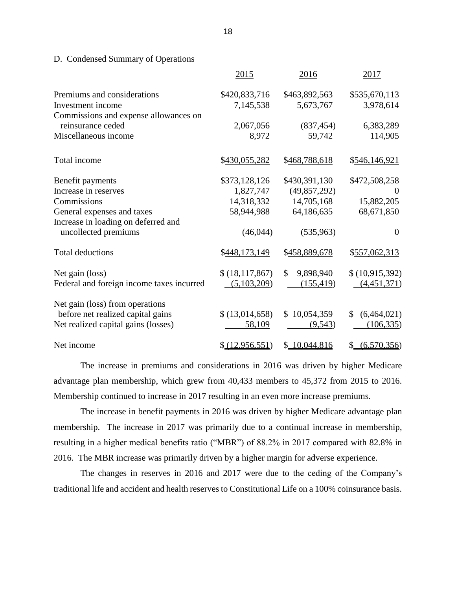#### D. Condensed Summary of Operations

|                                           | 2015             | 2016                      | 2017              |
|-------------------------------------------|------------------|---------------------------|-------------------|
| Premiums and considerations               | \$420,833,716    | \$463,892,563             | \$535,670,113     |
| Investment income                         | 7,145,538        | 5,673,767                 | 3,978,614         |
| Commissions and expense allowances on     |                  |                           |                   |
| reinsurance ceded                         | 2,067,056        | (837, 454)                | 6,383,289         |
| Miscellaneous income                      | 8,972            | 59,742                    | 114,905           |
| Total income                              | \$430,055,282    | \$468,788,618             | \$546,146,921     |
| Benefit payments                          | \$373,128,126    | \$430,391,130             | \$472,508,258     |
| Increase in reserves                      | 1,827,747        | (49, 857, 292)            | $\theta$          |
| Commissions                               | 14,318,332       | 14,705,168                | 15,882,205        |
| General expenses and taxes                | 58,944,988       | 64,186,635                | 68,671,850        |
| Increase in loading on deferred and       |                  |                           |                   |
| uncollected premiums                      | (46, 044)        | (535,963)                 | $\theta$          |
| <b>Total deductions</b>                   | \$448,173,149    | \$458,889,678             | \$557,062,313     |
| Net gain (loss)                           | \$(18, 117, 867) | $\mathbb{S}$<br>9,898,940 | \$(10,915,392)    |
| Federal and foreign income taxes incurred | (5,103,209)      | (155, 419)                | (4,451,371)       |
| Net gain (loss) from operations           |                  |                           |                   |
| before net realized capital gains         | \$(13,014,658)   | \$10,054,359              | (6,464,021)<br>S. |
| Net realized capital gains (losses)       | 58,109           | (9,543)                   | (106, 335)        |
| Net income                                | \$ (12,956,551)  | \$10,044,816              | \$ (6,570,356)    |

The increase in premiums and considerations in 2016 was driven by higher Medicare advantage plan membership, which grew from 40,433 members to 45,372 from 2015 to 2016. Membership continued to increase in 2017 resulting in an even more increase premiums.

The increase in benefit payments in 2016 was driven by higher Medicare advantage plan membership. The increase in 2017 was primarily due to a continual increase in membership, resulting in a higher medical benefits ratio ("MBR") of 88.2% in 2017 compared with 82.8% in 2016. The MBR increase was primarily driven by a higher margin for adverse experience.

The changes in reserves in 2016 and 2017 were due to the ceding of the Company's traditional life and accident and health reserves to Constitutional Life on a 100% coinsurance basis.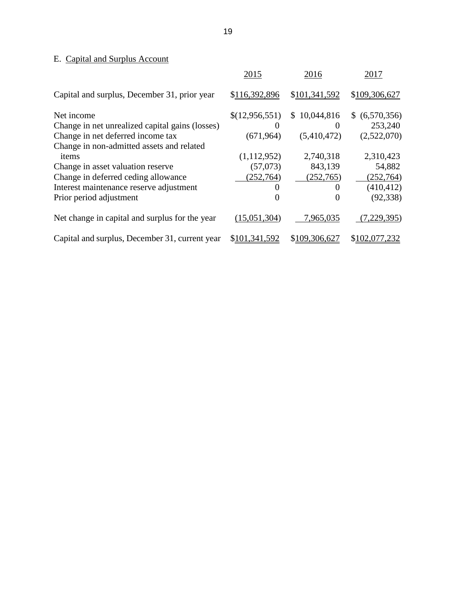# E. Capital and Surplus Account

|                                                 | 2015           | 2016          | 2017           |
|-------------------------------------------------|----------------|---------------|----------------|
| Capital and surplus, December 31, prior year    | \$116,392,896  | \$101,341,592 | \$109,306,627  |
| Net income                                      | \$(12,956,551) | \$10,044,816  | \$ (6,570,356) |
| Change in net unrealized capital gains (losses) |                | $\theta$      | 253,240        |
| Change in net deferred income tax               | (671, 964)     | (5,410,472)   | (2,522,070)    |
| Change in non-admitted assets and related       |                |               |                |
| items                                           | (1,112,952)    | 2,740,318     | 2,310,423      |
| Change in asset valuation reserve               | (57,073)       | 843,139       | 54,882         |
| Change in deferred ceding allowance             | (252,764)      | (252, 765)    | (252,764)      |
| Interest maintenance reserve adjustment         |                | $\theta$      | (410, 412)     |
| Prior period adjustment                         |                | $\theta$      | (92, 338)      |
| Net change in capital and surplus for the year  | (15,051,304)   | 7,965,035     | 7,229,395)     |
| Capital and surplus, December 31, current year  | \$101,341,592  | \$109,306,627 | \$102,077,232  |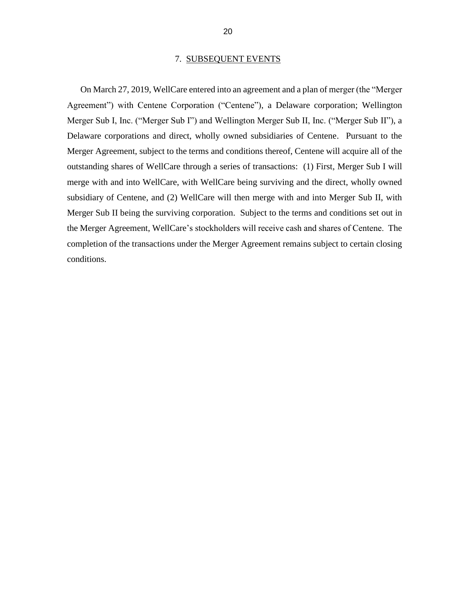#### 7. SUBSEQUENT EVENTS

On March 27, 2019, WellCare entered into an agreement and a plan of merger (the "Merger Agreement") with Centene Corporation ("Centene"), a Delaware corporation; Wellington Merger Sub I, Inc. ("Merger Sub I") and Wellington Merger Sub II, Inc. ("Merger Sub II"), a Delaware corporations and direct, wholly owned subsidiaries of Centene. Pursuant to the Merger Agreement, subject to the terms and conditions thereof, Centene will acquire all of the outstanding shares of WellCare through a series of transactions: (1) First, Merger Sub I will merge with and into WellCare, with WellCare being surviving and the direct, wholly owned subsidiary of Centene, and (2) WellCare will then merge with and into Merger Sub II, with Merger Sub II being the surviving corporation. Subject to the terms and conditions set out in the Merger Agreement, WellCare's stockholders will receive cash and shares of Centene. The completion of the transactions under the Merger Agreement remains subject to certain closing conditions.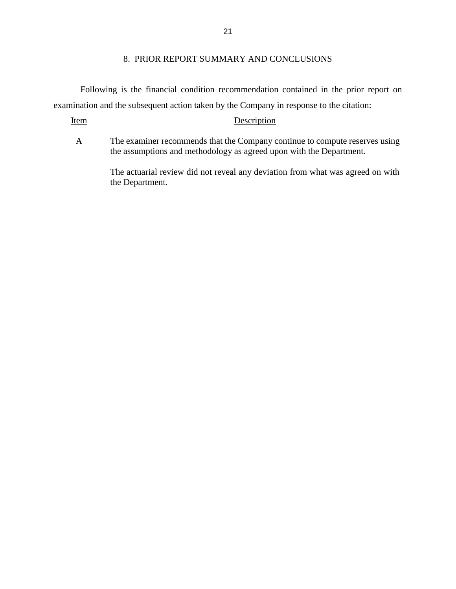Following is the financial condition recommendation contained in the prior report on examination and the subsequent action taken by the Company in response to the citation:

#### Item Description

A The examiner recommends that the Company continue to compute reserves using the assumptions and methodology as agreed upon with the Department.

> The actuarial review did not reveal any deviation from what was agreed on with the Department.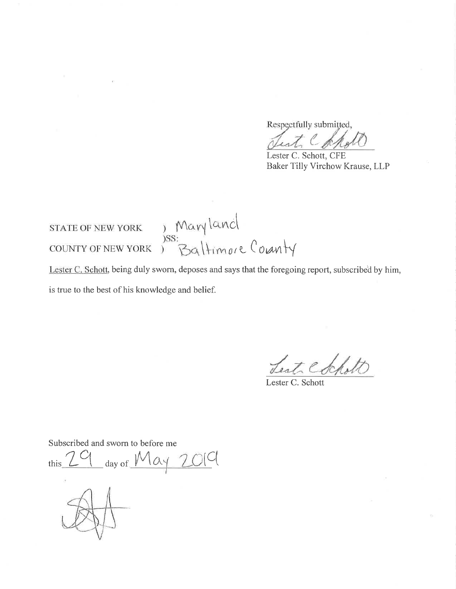Respectfully submitted,

Jest Cd

Lester C. Schott, CFE Baker Tilly Virchow Krause, LLP

STATE OF NEW YORK ) Mary land<br>
SS:<br>
COUNTY OF NEW YORK ) Baltimore County

Lester C. Schott, being duly sworn, deposes and says that the foregoing report, subscribed by him, is true to the best of his knowledge and belief.

Lest Cochott

Lester C. Schott

Subscribed and sworn to before me  $_$  day of  $May \ 200$ this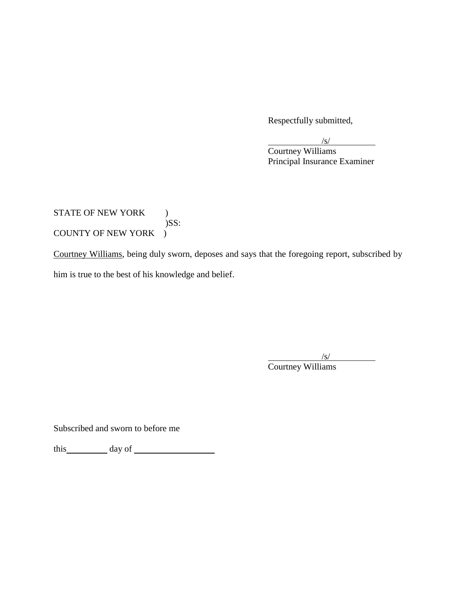Respectfully submitted,

| $\sqrt{s}$                   |
|------------------------------|
| Courtney Williams            |
| Principal Insurance Examiner |

# STATE OF NEW YORK )  $)$ SS: COUNTY OF NEW YORK )

Courtney Williams, being duly sworn, deposes and says that the foregoing report, subscribed by him is true to the best of his knowledge and belief.

> $\sqrt{s/}$ Courtney Williams

Subscribed and sworn to before me

this day of